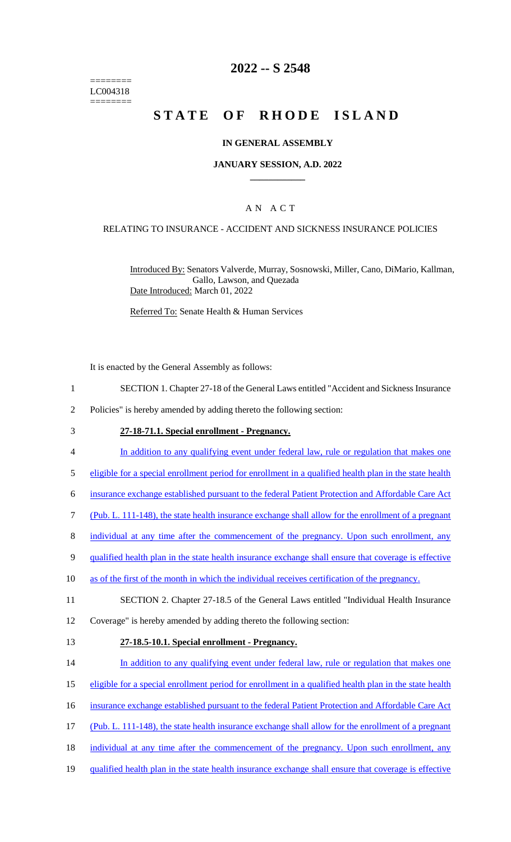======== LC004318 ========

## **2022 -- S 2548**

# **STATE OF RHODE ISLAND**

## **IN GENERAL ASSEMBLY**

## **JANUARY SESSION, A.D. 2022 \_\_\_\_\_\_\_\_\_\_\_\_**

## A N A C T

### RELATING TO INSURANCE - ACCIDENT AND SICKNESS INSURANCE POLICIES

Introduced By: Senators Valverde, Murray, Sosnowski, Miller, Cano, DiMario, Kallman, Gallo, Lawson, and Quezada Date Introduced: March 01, 2022

Referred To: Senate Health & Human Services

It is enacted by the General Assembly as follows:

- 1 SECTION 1. Chapter 27-18 of the General Laws entitled "Accident and Sickness Insurance
- 2 Policies" is hereby amended by adding thereto the following section:
- 3 **27-18-71.1. Special enrollment - Pregnancy.**
- 4 In addition to any qualifying event under federal law, rule or regulation that makes one
- 5 eligible for a special enrollment period for enrollment in a qualified health plan in the state health
- 6 insurance exchange established pursuant to the federal Patient Protection and Affordable Care Act
- 7 (Pub. L. 111-148), the state health insurance exchange shall allow for the enrollment of a pregnant
- 8 individual at any time after the commencement of the pregnancy. Upon such enrollment, any
- 9 qualified health plan in the state health insurance exchange shall ensure that coverage is effective
- 10 as of the first of the month in which the individual receives certification of the pregnancy.
- 11 SECTION 2. Chapter 27-18.5 of the General Laws entitled "Individual Health Insurance
- 12 Coverage" is hereby amended by adding thereto the following section:
- 

#### 13 **27-18.5-10.1. Special enrollment - Pregnancy.**

- 14 In addition to any qualifying event under federal law, rule or regulation that makes one
- 15 eligible for a special enrollment period for enrollment in a qualified health plan in the state health
- 16 insurance exchange established pursuant to the federal Patient Protection and Affordable Care Act
- 17 (Pub. L. 111-148), the state health insurance exchange shall allow for the enrollment of a pregnant
- 18 individual at any time after the commencement of the pregnancy. Upon such enrollment, any
- 19 qualified health plan in the state health insurance exchange shall ensure that coverage is effective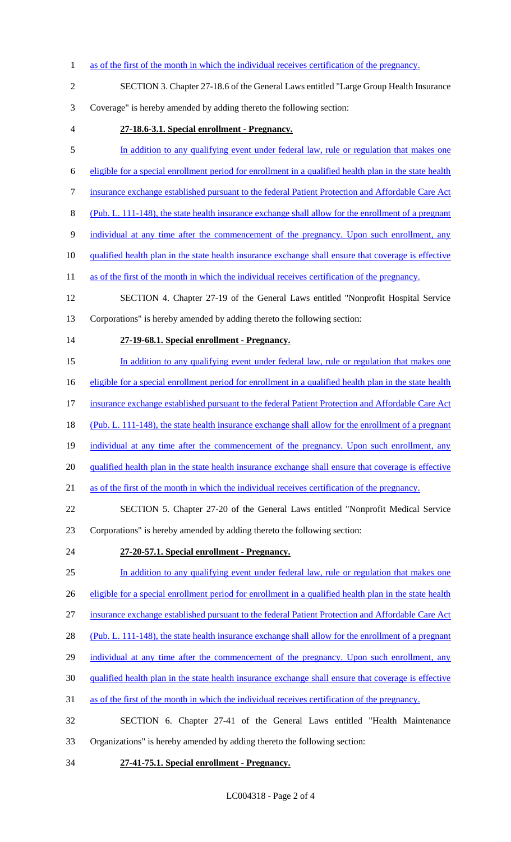- 1 as of the first of the month in which the individual receives certification of the pregnancy. SECTION 3. Chapter 27-18.6 of the General Laws entitled "Large Group Health Insurance Coverage" is hereby amended by adding thereto the following section: **27-18.6-3.1. Special enrollment - Pregnancy.** 5 In addition to any qualifying event under federal law, rule or regulation that makes one eligible for a special enrollment period for enrollment in a qualified health plan in the state health insurance exchange established pursuant to the federal Patient Protection and Affordable Care Act (Pub. L. 111-148), the state health insurance exchange shall allow for the enrollment of a pregnant individual at any time after the commencement of the pregnancy. Upon such enrollment, any 10 qualified health plan in the state health insurance exchange shall ensure that coverage is effective 11 as of the first of the month in which the individual receives certification of the pregnancy. SECTION 4. Chapter 27-19 of the General Laws entitled "Nonprofit Hospital Service Corporations" is hereby amended by adding thereto the following section: **27-19-68.1. Special enrollment - Pregnancy.** In addition to any qualifying event under federal law, rule or regulation that makes one 16 eligible for a special enrollment period for enrollment in a qualified health plan in the state health 17 insurance exchange established pursuant to the federal Patient Protection and Affordable Care Act 18 (Pub. L. 111-148), the state health insurance exchange shall allow for the enrollment of a pregnant 19 individual at any time after the commencement of the pregnancy. Upon such enrollment, any qualified health plan in the state health insurance exchange shall ensure that coverage is effective as of the first of the month in which the individual receives certification of the pregnancy. SECTION 5. Chapter 27-20 of the General Laws entitled "Nonprofit Medical Service Corporations" is hereby amended by adding thereto the following section: **27-20-57.1. Special enrollment - Pregnancy.** In addition to any qualifying event under federal law, rule or regulation that makes one 26 eligible for a special enrollment period for enrollment in a qualified health plan in the state health insurance exchange established pursuant to the federal Patient Protection and Affordable Care Act (Pub. L. 111-148), the state health insurance exchange shall allow for the enrollment of a pregnant 29 individual at any time after the commencement of the pregnancy. Upon such enrollment, any qualified health plan in the state health insurance exchange shall ensure that coverage is effective as of the first of the month in which the individual receives certification of the pregnancy. SECTION 6. Chapter 27-41 of the General Laws entitled "Health Maintenance Organizations" is hereby amended by adding thereto the following section:
- **27-41-75.1. Special enrollment - Pregnancy.**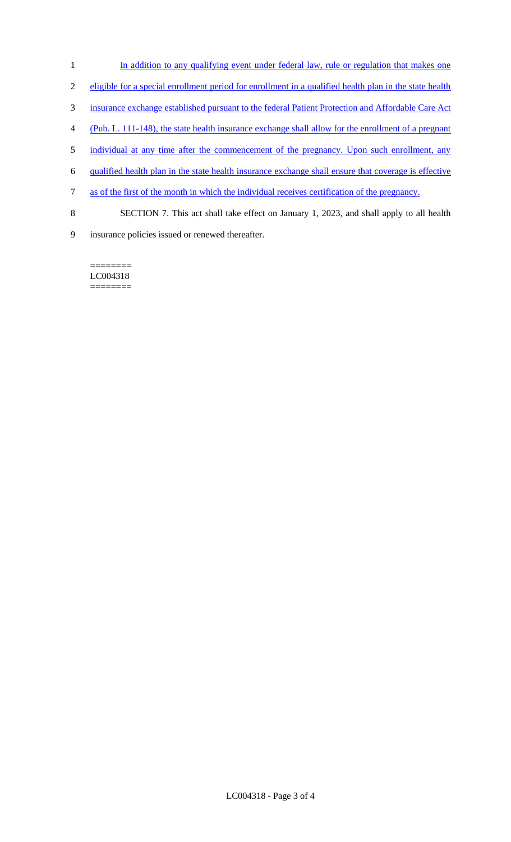- In addition to any qualifying event under federal law, rule or regulation that makes one
- eligible for a special enrollment period for enrollment in a qualified health plan in the state health
- insurance exchange established pursuant to the federal Patient Protection and Affordable Care Act
- (Pub. L. 111-148), the state health insurance exchange shall allow for the enrollment of a pregnant
- 5 individual at any time after the commencement of the pregnancy. Upon such enrollment, any
- qualified health plan in the state health insurance exchange shall ensure that coverage is effective
- as of the first of the month in which the individual receives certification of the pregnancy.
- SECTION 7. This act shall take effect on January 1, 2023, and shall apply to all health
- insurance policies issued or renewed thereafter.

LC004318 ========

========